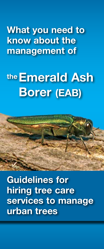What you need to know about the management of

# the **Emerald Ash** Borer (EAB)



Guidelines for hiring tree care services to manage urban trees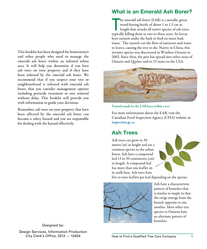This booklet has been designed for homeowners and other people who need to manage the emerald ash borer within an infested urban area. It will help you determine if you have ash trees on your property and if they have been infested by the emerald ash borer. We recommend that if you suspect your tree or neighbourhood is infested with emerald ash borer, that you consider management options including pesticide treatment or tree removal without delay. This booklet will provide you with information to guide your decisions.

Remember, ash trees on your property that have been affected by the emerald ash borer can become a safety hazard and you are responsible for dealing with the hazard effectively.

## What is an Emerald Ash Borer?

The emerald ash borer (EAB) is a metallic green<br>wood-boring beetle of about 1 to 1.5 cm in<br>length that attacks all native species of ash trees<br>typically killing them in two to three years. Its larvae he emerald ash borer (EAB) is a metallic green wood-boring beetle of about 1 to 1.5 cm in length that attacks all native species of ash trees, bore tunnels under the bark to feed on inner bark tissue. The tunnels cut the flow of nutrients and water to leaves, causing the tree to die. Native to China, this invasive species was discovered in Windsor Ontario in 2002. Since then, the pest has spread into other areas of Ontario and Quebec and to 15 states in the USA.



Tunnels made by the EAB larva within a tree

For more information about the EAB, visit the Canadian Food Inspection Agency (CFIA) website at: <inspection.gc.ca>

## Ash Trees

Ash trees can grow to 30 meters (m) in height and are a common species in the urban forest. Ash have a compound leaf 13 to 30 centimeters (cm) in length. A compound leaf has more than one leaflet on its stalk base. Ash trees have



five to nine leaflets per leaf depending on the species.



Ash have a characteristic pattern of branches that is similar to maple in that the twigs emerge from the branch opposite to one another. Most other tree species in Ontario have an alternate pattern of branches.

Designed by: Design Services, Information Production City Clerk's Office, 2012 — 12454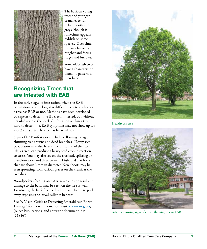

The bark on young trees and younger branches tends to be smooth and grey although it sometimes appears reddish on some species. Over time, the bark becomes rougher and forms ridges and furrows.

Some older ash trees have a characteristic diamond pattern to their bark.

# Recognizing Trees that are Infested with EAB

In the early stages of infestation, when the EAB population is fairly low; it is difficult to detect whether a tree has EAB or not. Methods have been developed by experts to determine if a tree is infested, but without detailed review, the level of infestation within a tree is hard to determine. EAB symptoms may not show up for 2 or 3 years after the tree has been infested.

Signs of EAB infestation include: yellowing foliage, thinning tree crowns and dead branches. Heavy seed production may also be seen near the end of the tree's life, as trees can produce a heavy seed crop in reaction to stress. You may also see on the tree bark splitting or discolouration and characteristic D-shaped exit holes that are about 3 mm in diameter. New shoots may be seen sprouting from various places on the trunk as the tree dies.

Woodpeckers feeding on EAB larvae and the resultant damage to the bark, may be seen on the tree as well. Eventually, the bark from a dead tree will begin to peel away exposing the larval galleries beneath.

See "A Visual Guide to Detecting Emerald Ash Borer Damage" for more information, visit: <cfs.nrcan.gc.ca>; (select Publications; and enter the document id # '26856')



Healthy ash tree



Ash tree showing signs of crown thinning due to EAB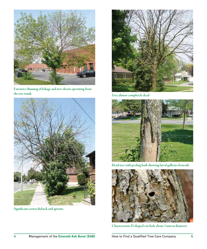

Extensive thinning of foliage and new shoots sprouting from the tree trunk



Significant crown dieback and sprouts



Tree almost completely dead



Dead tree with peeling bark showing larval galleries beneath



Characteristic D-shaped exit hole about 3 mm in diameter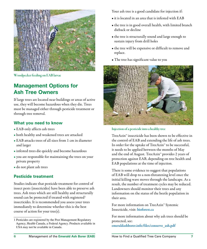

Woodpecker feeding on EAB larvae

# Management Options for Ash Tree Owners

If large trees are located near buildings or areas of active use, they will become hazardous when they die. Trees must be managed either through pesticide treatment or through tree removal.

#### **What you need to know**

- EAB only affects ash trees
- both healthy and weakened trees are attacked
- EAB attacks trees of all sizes from 1 cm in diameter and larger
- infested trees die quickly and become hazardous
- you are responsible for maintaining the trees on your private property
- do not plant ash trees

#### **Pesticide treatment**

Studies indicate that pesticide treatment for control of insect pests (insecticides) have been able to preserve ash trees. Ash trees which are still healthy and structurally sound can be protected if treated with registered<sup>1</sup> insecticides. It is recommended you assess your trees immediately to determine whether this is the best course of action for your tree(s).

Your ash tree is a good candidate for injection if:

- it is located in an area that is infested with EAB
- the tree is in good overall health, with limited branch dieback or decline
- the tree is structurally sound and large enough to sustain injury from drill holes
- the tree will be expensive or difficult to remove and replace.
- The tree has significant value to you



Injection of a pesticide into a healthy tree

TreeAzin™ insecticide has been shown to be effective in the control of EAB and extending the life of ash trees. In order for the uptake of TreeAzin™ to be successful, it needs to be applied between the months of May and the end of August. TreeAzin™ provides 2 years of protection against EAB, depending on tree health and EAB populations at the time of injection.

There is some evidence to suggest that populations of EAB will drop to a non-threatening level once the initial killing wave moves through the landscape. As a result, the number of treatment cycles may be reduced. Landowners should monitor their trees and any information on the status of the beetle population in their area.

For more information on TreeAzin™ Systemic Insecticide, visit: [bioforest.ca](http://bioforest.ca)

For more information about why ash trees should be protected, see: [emeraldashborer.info/files/conserve\\_ash.pdf](http://emeraldashborer.info/files/conserve_ash.pdf)

<sup>1</sup> Pesticides are registered by the Pest Management Regulatory Agency, Health Canada, a Federal Agency. Products available in USA may not be available in Canada.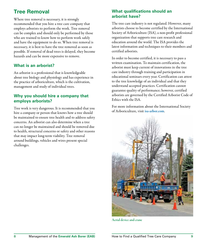# Tree Removal

Where tree removal is necessary, it is strongly recommended that you hire a tree care company that employs arborists to perform the work. Tree removal can be complex and should only be performed by those who are trained to know how to perform work safely and have the equipment to do so. When tree removal is necessary, it is best to have the tree removed as soon as possible. If removal of dead trees is delayed, they become hazards and can be more expensive to remove.

#### **What is an arborist?**

An arborist is a professional that is knowledgeable about tree biology and physiology and has experience in the practice of arboriculture, which is the cultivation, management and study of individual trees.

#### **Why you should hire a company that employs arborists?**

Tree work is very dangerous. It is recommended that you hire a company or person that knows how a tree should be maintained to ensure tree health and to address safety concerns. An arborist can also determine when a tree can no longer be maintained and should be removed due to health, structural concerns or safety and other reasons that may impact long-term viability. Tree removal around buildings, vehicles and wires present special challenges.

#### **What qualifications should an arborist have?**

The tree care industry is not regulated. However, many arborists choose to become certified by the International Society of Arboriculture (ISA), a non-profit professional organization that supports tree care research and education around the world. The ISA provides the latest information and techniques to their members and certified arborists.

In order to become certified, it is necessary to pass a written examination. To maintain certification, the arborist must keep current of innovations in the tree care industry through training and participation in educational seminars every year. Certification can attest to the tree knowledge of an individual and that they understand accepted practices. Certification cannot guarantee quality of performance; however, certified arborists are governed by the Certified Arborist Code of Ethics with the ISA.

For more information about the International Society of Arboriculture, visit [isa-arbor.com](http://isa-arbor.com).



Aerial device and crane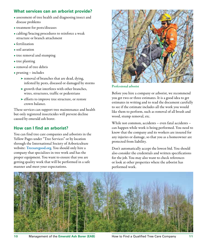#### **What services can an arborist provide?**

- assessment of tree health and diagnosing insect and disease problems
- treatment for pests/diseases
- cabling/bracing procedures to reinforce a weak structure or branch attachment
- fertilization
- soil aeration
- tree removal and stumping
- tree planting
- removal of tree debris
- pruning includes
	- ➤ removal of branches that are dead, dying, infested by pests, diseased or damaged by storms
	- ➤ growth that interferes with other branches, wires, structures, traffic or pedestrians
	- ➤ efforts to improve tree structure, or restore crown balance.

These services can support tree maintenance and health but only registered insecticides will prevent decline caused by emerald ash borer.

#### **How can I find an arborist?**

You can find tree care companies and arborists in the Yellow Pages under "Tree Services" or by location through the International Society of Arboriculture website: [Treesaregood.org](http://Treesaregood.org). You should only hire a company that specializes in tree work and has the proper equipment. You want to ensure that you are getting quality work that will be performed in a safe manner and meet your expectations.



Professional arborist

Before you hire a company or arborist, we recommend you get two or three estimates. It is a good idea to get estimates in writing and to read the document carefully to see if the estimate includes all the work you would like them to perform, such as removal of all brush and wood, stump removal, etc.

While not common, accidents – even fatal accidents – can happen while work is being performed. You need to know that the company and its workers are insured for any injuries or damage, so that you as a homeowner are protected from liability.

Don't automatically accept the lowest bid. You should also consider the credentials and written specifications for the job. You may also want to check references or look at other properties where the arborist has performed work.

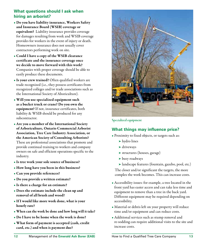#### **What questions should I ask when hiring an arborist?**

- Do you have liability insurance, Workers Safety and Insurance Board (WSIB) coverage or equivalent? Liability insurance provides coverage for damages resulting from work and WSIB coverage provides for workers in the event of injury or death. Homeowners insurance does not usually cover contractors performing work on site.
- Could I have a copy of the WSIB clearance certificate and the insurance coverage once we decide to move forward with this work? Companies with proper coverage should be able to easily produce these documents.
- Is your crew trained? Often qualified workers are trade recognized (i.e., they possess certificates from recognized colleges and/or trade associations such as the International Society of Aboriculture).
- Will you use specialized equipment such as a bucket truck or crane? Do you own the equipment? If not, insurance certificates, both liability & WSIB should be produced for any subcontractor.
- Are you a member of the International Society of Arboriculture, Ontario Commercial Arborist Association, Tree Care Industry Association, or the American Society of Consulting Arborists? These are professional associations that promote and provide continual training to workers and company owners on safe and efficient operations specific to the industry.
- Is tree work your sole source of business?
- How long have you been in this business?
- Can you provide references?
- Do you provide a written estimate?
- Is there a charge for an estimate?
- Does the estimate include the clean up and removal of all brush and wood?
- If I would like more work done, what is your hourly rate?
- When can the work be done and how long will it take?
- Do I have to be home when the work is done?
- What form of payment is accepted (cash, credit card, etc.) and when is payment due?



Specialized equipment

#### **What things may influence price?**

- Proximity to fixed objects, or targets such as:
	- hydro lines ➤
	- ► driveways
	- structures (houses, garage) ➤
	- ► busy roadways
	- landscape features (fountain, gazebo, pool, etc.) ➤

The closer and/or significant the targets, the more complex the work becomes. This can increase costs.

- Accessibility issues: for example, a tree located in the front yard has easier access and can take less time and equipment to remove than a tree in the back yard. Different equipment may be required depending on accessibility.
- Material or debris left on your property will reduce time and/or equipment and can reduce costs.
- Additional services such as stump removal and re-sodding can require additional visits to the site and increase costs.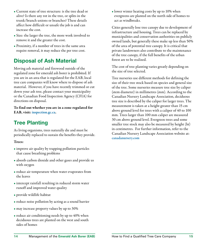- Current state of tree structure: is the tree dead or alive? Is there any rot in the tree, or splits in the trunk/branch unions or branches? These details affect how difficult or unsafe the job is and can increase the cost.
- Size: the larger the tree, the more work involved to remove it and the greater the cost.
- Proximity, if a number of trees in the same area require removal, it may reduce the per tree cost.

# Disposal of Ash Material

Moving ash material and firewood outside of the regulated zone for emerald ash borer is prohibited. If you are in an area that is regulated for the EAB, local tree care companies will know where to dispose of ash material. However, if you have recently trimmed or cut down your ash tree, please contact your municipality or the Canadian Food Inspection Agency (CFIA) for directions on disposal.

To find out whether you are in a zone regulated for EAB, visit: <inspection.gc.ca>.

# Tree Planting

As living organisms, trees naturally die and must be periodically replaced to sustain the benefits they provide.

#### Trees:

- improve air quality by trapping pollution particles that cause breathing problems
- absorb carbon dioxide and other gases and provide us with oxygen
- reduce air temperature when water evaporates from the leaves
- intercept rainfall resulting in reduced storm water runoff and improved water quality
- provide wildlife habitat
- reduce noise pollution by acting as a sound barrier
- may increase property values by up to 30%
- reduce air conditioning needs by up to 40% when deciduous trees are planted on the west and south sides of homes

• lower winter heating costs by up to 10% when evergreens are planted on the north side of homes to act as windbreaks.

Cities generally lose tree canopy due to development of infrastructure and housing. Trees can be replaced by municipalities and conservation authorities on publicly owned lands, but generally these make up less than 50% of the area of potential tree canopy. It is critical that private landowners also contribute to the maintenance of the tree canopy, if the full benefits of the urban forest are to be realized.

The cost of tree planting varies greatly depending on the size of tree selected.

Tree nurseries use different methods for defining the size of their tree stock based on species and general size of the tree. Some nurseries measure tree size by caliper (stem diameter) in millimetres (mm). According to the Canadian Nursery Landscape Association, deciduous tree size is described by the caliper for larger trees. The measurement is taken at a height greater than 15 cm above ground level for trees with a caliper of 40 to 100 mm. Trees larger than 100 mm caliper are measured 30 cm above ground level. Evergreen trees and some smaller tree stock may also be measured by height (ht) in centimetres. For further information, refer to the Canadian Nursery Landscape Association website at: [canadanursery.com](http://canadanursery.com)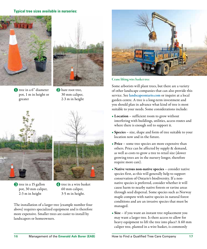#### **Typical tree sizes available in nurseries:**





**1** tree in a 6" diameter **2** pot, 1 m in height or greater

2 bare root tree, 30 mm caliper, 2-3 m in height



❸ ❹ tree in a 15 gallon pot, 30 mm caliper, 2-3 m in height



**4** tree in a wire basket 60 mm caliper, 3-5 m in height.

The installation of a larger tree (example number four above) requires specialized equipment and is therefore more expensive. Smaller trees are easier to install by landscapers or homeowners.



Crane lifting wire basket tree

Some arborists will plant trees, but there are a variety of other landscape companies that can also provide this service. See [landscapeontario.com](http://landscapeontario.com) or inquire at a local garden centre. A tree is a long-term investment and you should plan in advance what kind of tree is most suitable to your needs. Some considerations include:

- Location sufficient room to grow without interfering with buildings, utilities, access routes and where there is enough soil to support it.
- Species size, shape and form of tree suitable to your location now and in the future.
- Price some tree species are more expensive than others. Price can be affected by supply & demand, as well as costs to grow a tree to retail size (slower growing trees are in the nursery longer, therefore require more care).
- Native versus non-native species consider native species first, as this will generally help to support conservation of Ontario's biodiversity. If a nonnative species is preferred, consider whether it will cause harm to nearby native forests or ravine areas through seed dispersal. Some species such as Norway maple compete with native species in natural forest conditions and are an invasive species that must be managed.
- Size if you want an instant tree replacement you may want a larger tree. Is there access to allow for heavy equipment to lift the tree into place? A 60 mm caliper tree, planted in a wire basket, is commonly